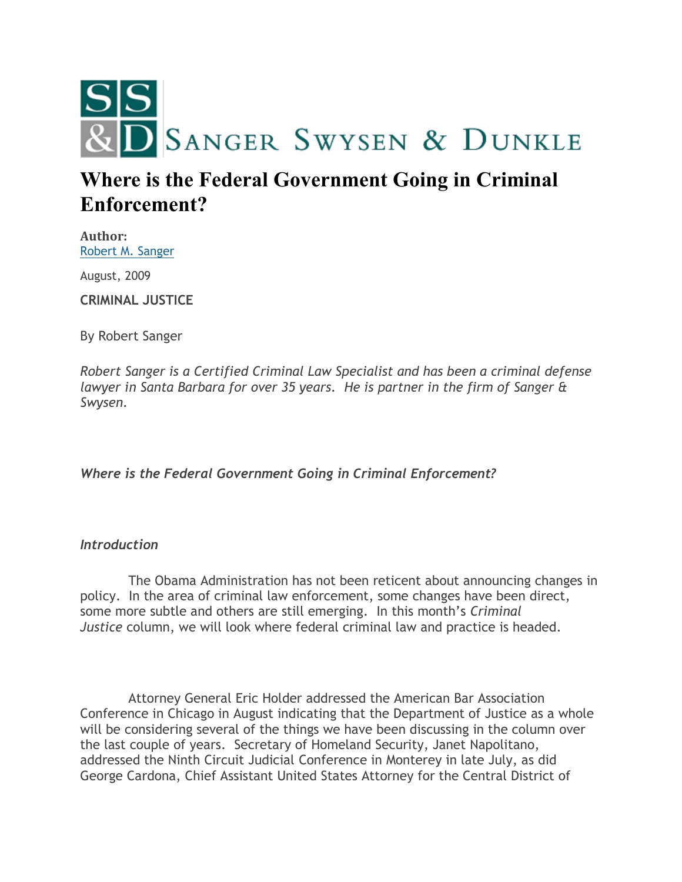

# **Where is the Federal Government Going in Criminal Enforcement?**

**Author:** [Robert M. Sanger](http://sangerswysen.com/robert-m-sanger)

August, 2009

**CRIMINAL JUSTICE**

By Robert Sanger

*Robert Sanger is a Certified Criminal Law Specialist and has been a criminal defense lawyer in Santa Barbara for over 35 years. He is partner in the firm of Sanger & Swysen.*

*Where is the Federal Government Going in Criminal Enforcement?*

# *Introduction*

 The Obama Administration has not been reticent about announcing changes in policy. In the area of criminal law enforcement, some changes have been direct, some more subtle and others are still emerging. In this month's *Criminal Justice* column, we will look where federal criminal law and practice is headed.

 Attorney General Eric Holder addressed the American Bar Association Conference in Chicago in August indicating that the Department of Justice as a whole will be considering several of the things we have been discussing in the column over the last couple of years. Secretary of Homeland Security, Janet Napolitano, addressed the Ninth Circuit Judicial Conference in Monterey in late July, as did George Cardona, Chief Assistant United States Attorney for the Central District of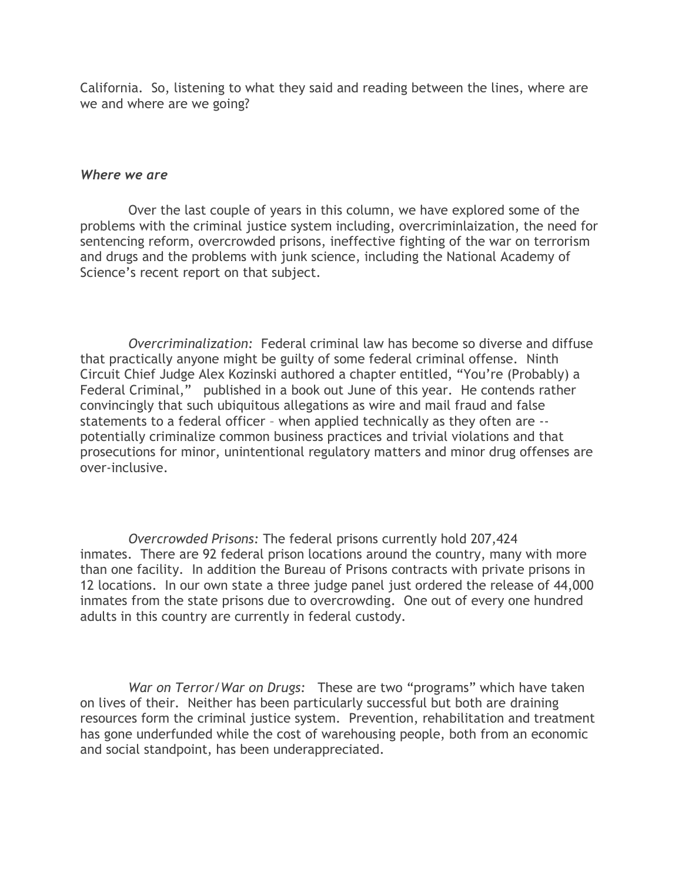California. So, listening to what they said and reading between the lines, where are we and where are we going?

#### *Where we are*

 Over the last couple of years in this column, we have explored some of the problems with the criminal justice system including, overcriminlaization, the need for sentencing reform, overcrowded prisons, ineffective fighting of the war on terrorism and drugs and the problems with junk science, including the National Academy of Science's recent report on that subject.

 *Overcriminalization:* Federal criminal law has become so diverse and diffuse that practically anyone might be guilty of some federal criminal offense. Ninth Circuit Chief Judge Alex Kozinski authored a chapter entitled, "You're (Probably) a Federal Criminal," published in a book out June of this year. He contends rather convincingly that such ubiquitous allegations as wire and mail fraud and false statements to a federal officer – when applied technically as they often are - potentially criminalize common business practices and trivial violations and that prosecutions for minor, unintentional regulatory matters and minor drug offenses are over-inclusive.

 *Overcrowded Prisons:* The federal prisons currently hold 207,424 inmates. There are 92 federal prison locations around the country, many with more than one facility. In addition the Bureau of Prisons contracts with private prisons in 12 locations. In our own state a three judge panel just ordered the release of 44,000 inmates from the state prisons due to overcrowding. One out of every one hundred adults in this country are currently in federal custody.

 *War on Terror/War on Drugs:* These are two "programs" which have taken on lives of their. Neither has been particularly successful but both are draining resources form the criminal justice system. Prevention, rehabilitation and treatment has gone underfunded while the cost of warehousing people, both from an economic and social standpoint, has been underappreciated.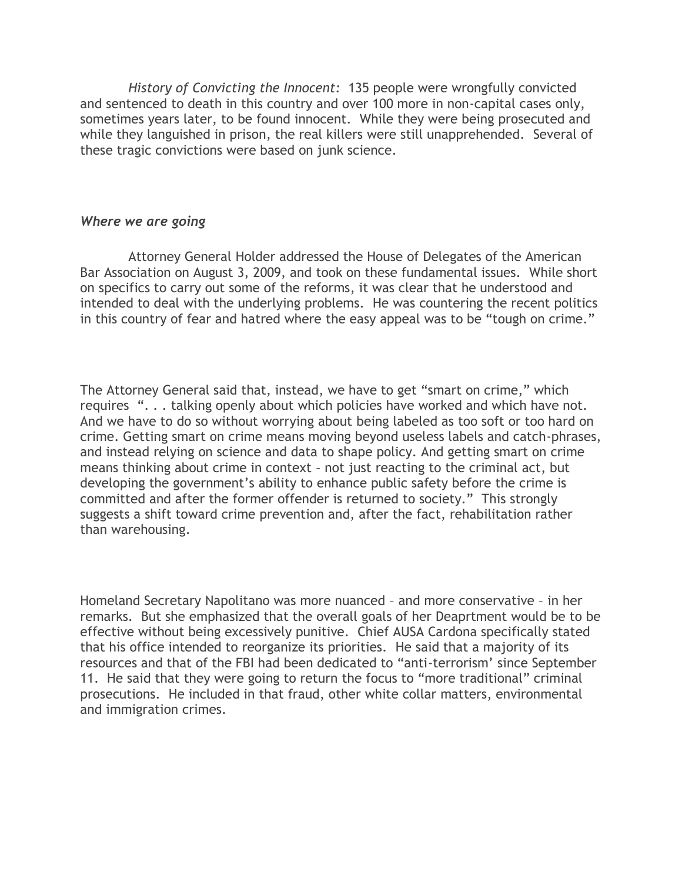*History of Convicting the Innocent:* 135 people were wrongfully convicted and sentenced to death in this country and over 100 more in non-capital cases only, sometimes years later, to be found innocent. While they were being prosecuted and while they languished in prison, the real killers were still unapprehended. Several of these tragic convictions were based on junk science.

## *Where we are going*

 Attorney General Holder addressed the House of Delegates of the American Bar Association on August 3, 2009, and took on these fundamental issues. While short on specifics to carry out some of the reforms, it was clear that he understood and intended to deal with the underlying problems. He was countering the recent politics in this country of fear and hatred where the easy appeal was to be "tough on crime."

The Attorney General said that, instead, we have to get "smart on crime," which requires ". . . talking openly about which policies have worked and which have not. And we have to do so without worrying about being labeled as too soft or too hard on crime. Getting smart on crime means moving beyond useless labels and catch-phrases, and instead relying on science and data to shape policy. And getting smart on crime means thinking about crime in context – not just reacting to the criminal act, but developing the government's ability to enhance public safety before the crime is committed and after the former offender is returned to society." This strongly suggests a shift toward crime prevention and, after the fact, rehabilitation rather than warehousing.

Homeland Secretary Napolitano was more nuanced – and more conservative – in her remarks. But she emphasized that the overall goals of her Deaprtment would be to be effective without being excessively punitive. Chief AUSA Cardona specifically stated that his office intended to reorganize its priorities. He said that a majority of its resources and that of the FBI had been dedicated to "anti-terrorism' since September 11. He said that they were going to return the focus to "more traditional" criminal prosecutions. He included in that fraud, other white collar matters, environmental and immigration crimes.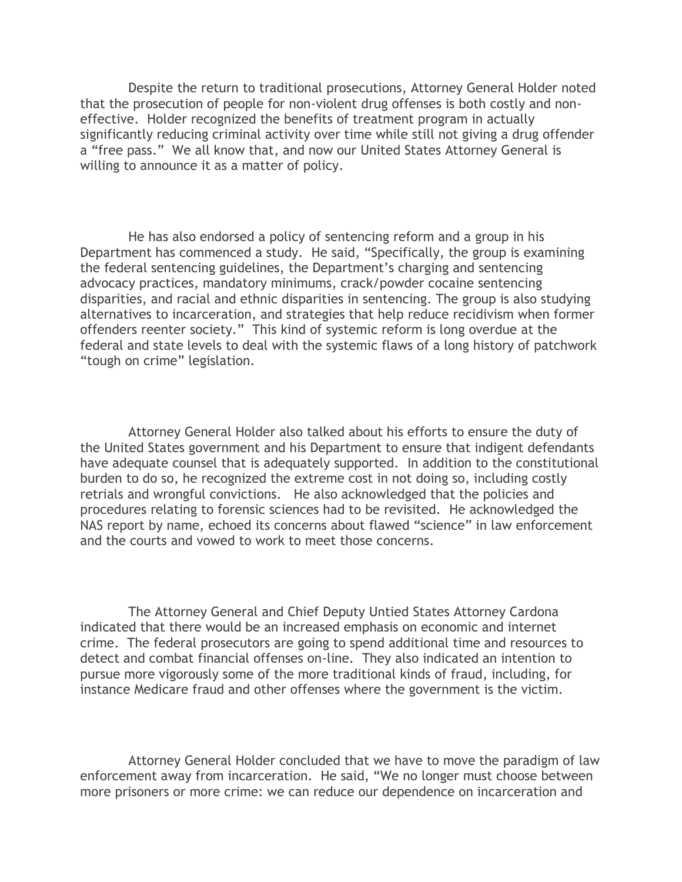Despite the return to traditional prosecutions, Attorney General Holder noted that the prosecution of people for non-violent drug offenses is both costly and noneffective. Holder recognized the benefits of treatment program in actually significantly reducing criminal activity over time while still not giving a drug offender a "free pass." We all know that, and now our United States Attorney General is willing to announce it as a matter of policy.

 He has also endorsed a policy of sentencing reform and a group in his Department has commenced a study. He said, "Specifically, the group is examining the federal sentencing guidelines, the Department's charging and sentencing advocacy practices, mandatory minimums, crack/powder cocaine sentencing disparities, and racial and ethnic disparities in sentencing. The group is also studying alternatives to incarceration, and strategies that help reduce recidivism when former offenders reenter society." This kind of systemic reform is long overdue at the federal and state levels to deal with the systemic flaws of a long history of patchwork "tough on crime" legislation.

 Attorney General Holder also talked about his efforts to ensure the duty of the United States government and his Department to ensure that indigent defendants have adequate counsel that is adequately supported. In addition to the constitutional burden to do so, he recognized the extreme cost in not doing so, including costly retrials and wrongful convictions. He also acknowledged that the policies and procedures relating to forensic sciences had to be revisited. He acknowledged the NAS report by name, echoed its concerns about flawed "science" in law enforcement and the courts and vowed to work to meet those concerns.

 The Attorney General and Chief Deputy Untied States Attorney Cardona indicated that there would be an increased emphasis on economic and internet crime. The federal prosecutors are going to spend additional time and resources to detect and combat financial offenses on-line. They also indicated an intention to pursue more vigorously some of the more traditional kinds of fraud, including, for instance Medicare fraud and other offenses where the government is the victim.

 Attorney General Holder concluded that we have to move the paradigm of law enforcement away from incarceration. He said, "We no longer must choose between more prisoners or more crime: we can reduce our dependence on incarceration and